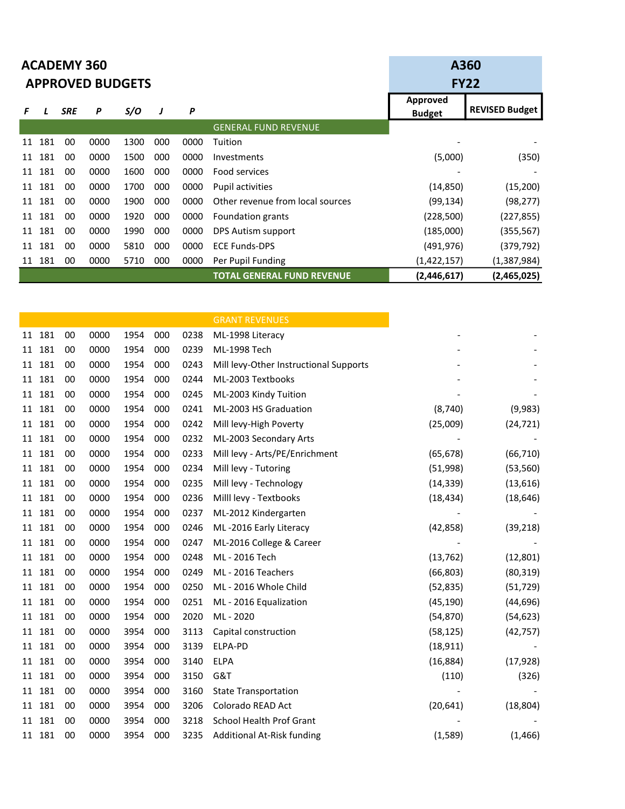|    |     | <b>ACADEMY 360</b> | <b>APPROVED BUDGETS</b> | A360 | <b>FY22</b> |      |                                   |                                  |                       |
|----|-----|--------------------|-------------------------|------|-------------|------|-----------------------------------|----------------------------------|-----------------------|
| F  |     | <b>SRE</b>         | P                       | S/O  | J           | P    |                                   | <b>Approved</b><br><b>Budget</b> | <b>REVISED Budget</b> |
|    |     |                    |                         |      |             |      | <b>GENERAL FUND REVENUE</b>       |                                  |                       |
| 11 | 181 | 00                 | 0000                    | 1300 | 000         | 0000 | Tuition                           |                                  |                       |
| 11 | 181 | 00                 | 0000                    | 1500 | 000         | 0000 | Investments                       | (5,000)                          | (350)                 |
| 11 | 181 | 00                 | 0000                    | 1600 | 000         | 0000 | Food services                     |                                  |                       |
| 11 | 181 | 00                 | 0000                    | 1700 | 000         | 0000 | Pupil activities                  | (14, 850)                        | (15, 200)             |
| 11 | 181 | 00                 | 0000                    | 1900 | 000         | 0000 | Other revenue from local sources  | (99,134)                         | (98, 277)             |
| 11 | 181 | 00                 | 0000                    | 1920 | 000         | 0000 | Foundation grants                 | (228, 500)                       | (227, 855)            |
| 11 | 181 | 00                 | 0000                    | 1990 | 000         | 0000 | DPS Autism support                | (185,000)                        | (355, 567)            |
| 11 | 181 | 00                 | 0000                    | 5810 | 000         | 0000 | <b>ECE Funds-DPS</b>              | (491, 976)                       | (379, 792)            |
| 11 | 181 | 00                 | 0000                    | 5710 | 000         | 0000 | Per Pupil Funding                 | (1,422,157)                      | (1,387,984)           |
|    |     |                    |                         |      |             |      | <b>TOTAL GENERAL FUND REVENUE</b> | (2,446,617)                      | (2,465,025)           |

|    |        |    |      |      |     |      | <b>GRANT REVENUES</b>                  |           |           |
|----|--------|----|------|------|-----|------|----------------------------------------|-----------|-----------|
|    | 11 181 | 00 | 0000 | 1954 | 000 | 0238 | ML-1998 Literacy                       |           |           |
|    | 11 181 | 00 | 0000 | 1954 | 000 | 0239 | ML-1998 Tech                           |           |           |
|    | 11 181 | 00 | 0000 | 1954 | 000 | 0243 | Mill levy-Other Instructional Supports |           |           |
|    | 11 181 | 00 | 0000 | 1954 | 000 | 0244 | ML-2003 Textbooks                      |           |           |
|    | 11 181 | 00 | 0000 | 1954 | 000 | 0245 | ML-2003 Kindy Tuition                  |           |           |
|    | 11 181 | 00 | 0000 | 1954 | 000 | 0241 | ML-2003 HS Graduation                  | (8, 740)  | (9,983)   |
|    | 11 181 | 00 | 0000 | 1954 | 000 | 0242 | Mill levy-High Poverty                 | (25,009)  | (24, 721) |
|    | 11 181 | 00 | 0000 | 1954 | 000 | 0232 | ML-2003 Secondary Arts                 |           |           |
|    | 11 181 | 00 | 0000 | 1954 | 000 | 0233 | Mill levy - Arts/PE/Enrichment         | (65, 678) | (66, 710) |
|    | 11 181 | 00 | 0000 | 1954 | 000 | 0234 | Mill levy - Tutoring                   | (51,998)  | (53, 560) |
|    | 11 181 | 00 | 0000 | 1954 | 000 | 0235 | Mill levy - Technology                 | (14, 339) | (13, 616) |
|    | 11 181 | 00 | 0000 | 1954 | 000 | 0236 | Milll levy - Textbooks                 | (18, 434) | (18, 646) |
| 11 | 181    | 00 | 0000 | 1954 | 000 | 0237 | ML-2012 Kindergarten                   |           |           |
|    | 11 181 | 00 | 0000 | 1954 | 000 | 0246 | ML-2016 Early Literacy                 | (42, 858) | (39, 218) |
|    | 11 181 | 00 | 0000 | 1954 | 000 | 0247 | ML-2016 College & Career               |           |           |
|    | 11 181 | 00 | 0000 | 1954 | 000 | 0248 | ML - 2016 Tech                         | (13, 762) | (12, 801) |
|    | 11 181 | 00 | 0000 | 1954 | 000 | 0249 | ML - 2016 Teachers                     | (66, 803) | (80, 319) |
|    | 11 181 | 00 | 0000 | 1954 | 000 | 0250 | ML - 2016 Whole Child                  | (52, 835) | (51, 729) |
|    | 11 181 | 00 | 0000 | 1954 | 000 | 0251 | ML - 2016 Equalization                 | (45, 190) | (44, 696) |
|    | 11 181 | 00 | 0000 | 1954 | 000 | 2020 | ML - 2020                              | (54, 870) | (54, 623) |
|    | 11 181 | 00 | 0000 | 3954 | 000 | 3113 | Capital construction                   | (58, 125) | (42, 757) |
|    | 11 181 | 00 | 0000 | 3954 | 000 | 3139 | ELPA-PD                                | (18, 911) |           |
|    | 11 181 | 00 | 0000 | 3954 | 000 | 3140 | <b>ELPA</b>                            | (16, 884) | (17, 928) |
|    | 11 181 | 00 | 0000 | 3954 | 000 | 3150 | G&T                                    | (110)     | (326)     |
| 11 | 181    | 00 | 0000 | 3954 | 000 | 3160 | <b>State Transportation</b>            |           |           |
|    | 11 181 | 00 | 0000 | 3954 | 000 | 3206 | Colorado READ Act                      | (20, 641) | (18, 804) |
|    | 11 181 | 00 | 0000 | 3954 | 000 | 3218 | <b>School Health Prof Grant</b>        |           |           |
|    | 11 181 | 00 | 0000 | 3954 | 000 | 3235 | Additional At-Risk funding             | (1,589)   | (1, 466)  |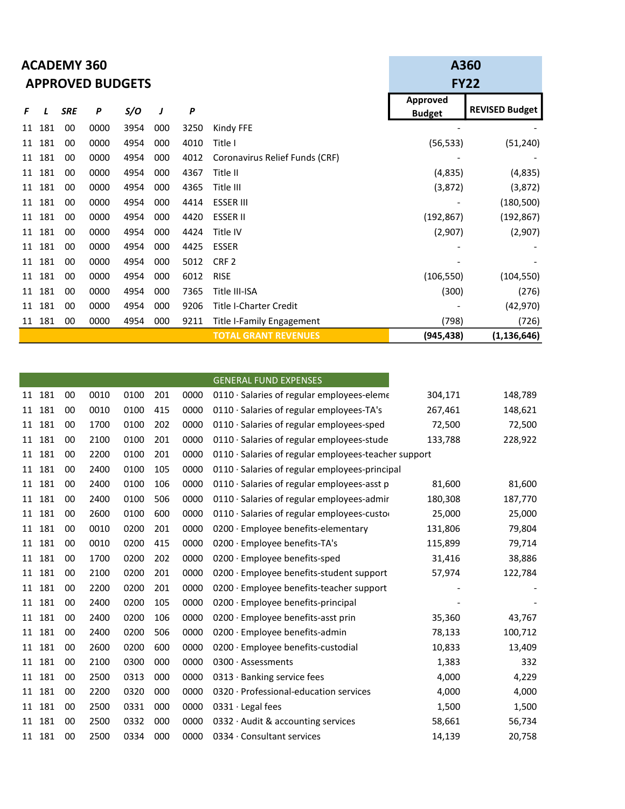|    |     | <b>ACADEMY 360</b> | <b>APPROVED BUDGETS</b> | A360<br><b>FY22</b> |     |                  |                                |                                  |                       |
|----|-----|--------------------|-------------------------|---------------------|-----|------------------|--------------------------------|----------------------------------|-----------------------|
| F  |     | <b>SRE</b>         | P                       | S/O                 | J   | $\boldsymbol{P}$ |                                | <b>Approved</b><br><b>Budget</b> | <b>REVISED Budget</b> |
| 11 | 181 | 00                 | 0000                    | 3954                | 000 | 3250             | Kindy FFE                      |                                  |                       |
| 11 | 181 | 00                 | 0000                    | 4954                | 000 | 4010             | Title I                        | (56, 533)                        | (51, 240)             |
| 11 | 181 | 00                 | 0000                    | 4954                | 000 | 4012             | Coronavirus Relief Funds (CRF) |                                  |                       |
| 11 | 181 | 00                 | 0000                    | 4954                | 000 | 4367             | Title II                       | (4,835)                          | (4,835)               |
| 11 | 181 | 00                 | 0000                    | 4954                | 000 | 4365             | Title III                      | (3,872)                          | (3, 872)              |
| 11 | 181 | 00                 | 0000                    | 4954                | 000 | 4414             | <b>ESSER III</b>               |                                  | (180, 500)            |
| 11 | 181 | 00                 | 0000                    | 4954                | 000 | 4420             | <b>ESSER II</b>                | (192, 867)                       | (192, 867)            |
| 11 | 181 | 00                 | 0000                    | 4954                | 000 | 4424             | Title IV                       | (2,907)                          | (2,907)               |
| 11 | 181 | 00                 | 0000                    | 4954                | 000 | 4425             | <b>ESSER</b>                   |                                  |                       |
| 11 | 181 | 00                 | 0000                    | 4954                | 000 | 5012             | CRF <sub>2</sub>               |                                  |                       |
| 11 | 181 | 00                 | 0000                    | 4954                | 000 | 6012             | <b>RISE</b>                    | (106, 550)                       | (104, 550)            |
| 11 | 181 | 00                 | 0000                    | 4954                | 000 | 7365             | Title III-ISA                  | (300)                            | (276)                 |
| 11 | 181 | 00                 | 0000                    | 4954                | 000 | 9206             | <b>Title I-Charter Credit</b>  |                                  | (42, 970)             |
| 11 | 181 | 00                 | 0000                    | 4954                | 000 | 9211             | Title I-Family Engagement      | (798)                            | (726)                 |
|    |     |                    |                         |                     |     |                  | <b>TOTAL GRANT REVENUES</b>    | (945, 438)                       | (1, 136, 646)         |

|        |    |      |      |     |      | <b>GENERAL FUND EXPENSES</b>                         |         |         |
|--------|----|------|------|-----|------|------------------------------------------------------|---------|---------|
| 11 181 | 00 | 0010 | 0100 | 201 | 0000 | 0110 · Salaries of regular employees-eleme           | 304,171 | 148,789 |
| 11 181 | 00 | 0010 | 0100 | 415 | 0000 | 0110 · Salaries of regular employees-TA's            | 267,461 | 148,621 |
| 11 181 | 00 | 1700 | 0100 | 202 | 0000 | 0110 · Salaries of regular employees-sped            | 72,500  | 72,500  |
| 11 181 | 00 | 2100 | 0100 | 201 | 0000 | $0110 \cdot$ Salaries of regular employees-stude     | 133,788 | 228,922 |
| 11 181 | 00 | 2200 | 0100 | 201 | 0000 | 0110 · Salaries of regular employees-teacher support |         |         |
| 11 181 | 00 | 2400 | 0100 | 105 | 0000 | $0110 \cdot$ Salaries of regular employees-principal |         |         |
| 11 181 | 00 | 2400 | 0100 | 106 | 0000 | 0110 · Salaries of regular employees-asst p          | 81,600  | 81,600  |
| 11 181 | 00 | 2400 | 0100 | 506 | 0000 | 0110 · Salaries of regular employees-admir           | 180,308 | 187,770 |
| 11 181 | 00 | 2600 | 0100 | 600 | 0000 | $0110 \cdot$ Salaries of regular employees-custor    | 25,000  | 25,000  |
| 11 181 | 00 | 0010 | 0200 | 201 | 0000 | 0200 · Employee benefits-elementary                  | 131,806 | 79,804  |
| 11 181 | 00 | 0010 | 0200 | 415 | 0000 | 0200 · Employee benefits-TA's                        | 115,899 | 79,714  |
| 11 181 | 00 | 1700 | 0200 | 202 | 0000 | $0200 \cdot$ Employee benefits-sped                  | 31,416  | 38,886  |
| 11 181 | 00 | 2100 | 0200 | 201 | 0000 | $0200 \cdot$ Employee benefits-student support       | 57,974  | 122,784 |
| 11 181 | 00 | 2200 | 0200 | 201 | 0000 | 0200 · Employee benefits-teacher support             |         |         |
| 11 181 | 00 | 2400 | 0200 | 105 | 0000 | 0200 · Employee benefits-principal                   |         |         |
| 11 181 | 00 | 2400 | 0200 | 106 | 0000 | 0200 · Employee benefits-asst prin                   | 35,360  | 43,767  |
| 11 181 | 00 | 2400 | 0200 | 506 | 0000 | $0200 \cdot$ Employee benefits-admin                 | 78,133  | 100,712 |
| 11 181 | 00 | 2600 | 0200 | 600 | 0000 | 0200 · Employee benefits-custodial                   | 10,833  | 13,409  |
| 11 181 | 00 | 2100 | 0300 | 000 | 0000 | 0300 · Assessments                                   | 1,383   | 332     |
| 11 181 | 00 | 2500 | 0313 | 000 | 0000 | $0313 \cdot$ Banking service fees                    | 4,000   | 4,229   |
| 11 181 | 00 | 2200 | 0320 | 000 | 0000 | 0320 · Professional-education services               | 4,000   | 4,000   |
| 11 181 | 00 | 2500 | 0331 | 000 | 0000 | $0331 \cdot$ Legal fees                              | 1,500   | 1,500   |
| 11 181 | 00 | 2500 | 0332 | 000 | 0000 | 0332 $\cdot$ Audit & accounting services             | 58,661  | 56,734  |
| 11 181 | 00 | 2500 | 0334 | 000 | 0000 | 0334 · Consultant services                           | 14,139  | 20,758  |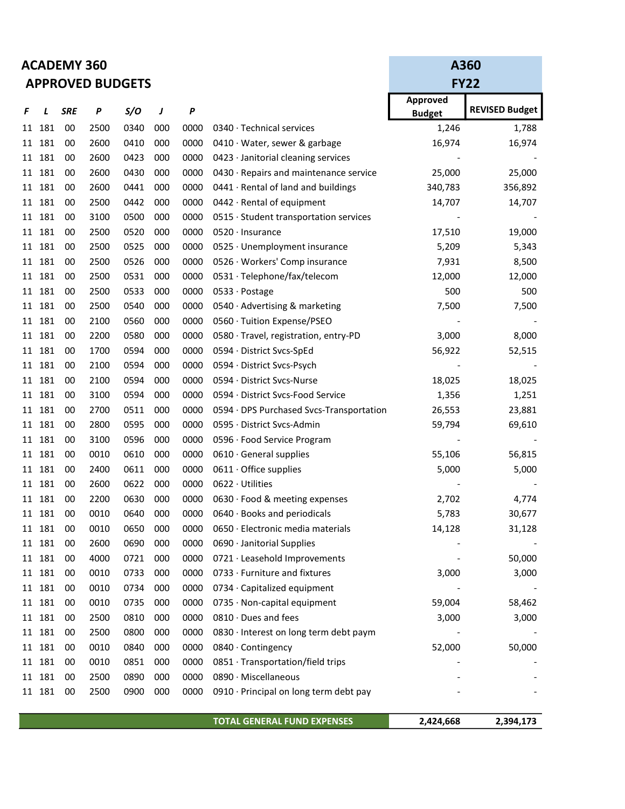| <b>ACADEMY 360</b>      |
|-------------------------|
| <b>APPROVED BUDGETS</b> |

|    |        |            | <b>APPROVED BUDGETS</b> |      | <b>FY22</b> |      |                                          |                 |                       |
|----|--------|------------|-------------------------|------|-------------|------|------------------------------------------|-----------------|-----------------------|
|    |        |            |                         |      |             |      |                                          | <b>Approved</b> |                       |
| F  | L      | <b>SRE</b> | P                       | S/O  | J           | P    |                                          | <b>Budget</b>   | <b>REVISED Budget</b> |
|    | 11 181 | 00         | 2500                    | 0340 | 000         | 0000 | 0340 · Technical services                | 1,246           | 1,788                 |
| 11 | 181    | 00         | 2600                    | 0410 | 000         | 0000 | 0410 · Water, sewer & garbage            | 16,974          | 16,974                |
|    | 11 181 | 00         | 2600                    | 0423 | 000         | 0000 | 0423 · Janitorial cleaning services      |                 |                       |
|    | 11 181 | 00         | 2600                    | 0430 | 000         | 0000 | 0430 · Repairs and maintenance service   | 25,000          | 25,000                |
|    | 11 181 | 00         | 2600                    | 0441 | 000         | 0000 | 0441 · Rental of land and buildings      | 340,783         | 356,892               |
|    | 11 181 | 00         | 2500                    | 0442 | 000         | 0000 | 0442 · Rental of equipment               | 14,707          | 14,707                |
|    | 11 181 | 00         | 3100                    | 0500 | 000         | 0000 | 0515 · Student transportation services   |                 |                       |
|    | 11 181 | 00         | 2500                    | 0520 | 000         | 0000 | $0520 \cdot$ Insurance                   | 17,510          | 19,000                |
|    | 11 181 | 00         | 2500                    | 0525 | 000         | 0000 | 0525 · Unemployment insurance            | 5,209           | 5,343                 |
|    | 11 181 | 00         | 2500                    | 0526 | 000         | 0000 | 0526 · Workers' Comp insurance           | 7,931           | 8,500                 |
|    | 11 181 | 00         | 2500                    | 0531 | 000         | 0000 | 0531 · Telephone/fax/telecom             | 12,000          | 12,000                |
|    | 11 181 | 00         | 2500                    | 0533 | 000         | 0000 | 0533 · Postage                           | 500             | 500                   |
|    | 11 181 | 00         | 2500                    | 0540 | 000         | 0000 | 0540 · Advertising & marketing           | 7,500           | 7,500                 |
|    | 11 181 | 00         | 2100                    | 0560 | 000         | 0000 | 0560 · Tuition Expense/PSEO              |                 |                       |
|    | 11 181 | 00         | 2200                    | 0580 | 000         | 0000 | 0580 · Travel, registration, entry-PD    | 3,000           | 8,000                 |
|    | 11 181 | 00         | 1700                    | 0594 | 000         | 0000 | 0594 · District Svcs-SpEd                | 56,922          | 52,515                |
|    | 11 181 | 00         | 2100                    | 0594 | 000         | 0000 | 0594 · District Svcs-Psych               |                 |                       |
|    | 11 181 | 00         | 2100                    | 0594 | 000         | 0000 | 0594 · District Svcs-Nurse               | 18,025          | 18,025                |
|    | 11 181 | 00         | 3100                    | 0594 | 000         | 0000 | 0594 · District Svcs-Food Service        | 1,356           | 1,251                 |
|    | 11 181 | 00         | 2700                    | 0511 | 000         | 0000 | 0594 · DPS Purchased Svcs-Transportation | 26,553          | 23,881                |
| 11 | 181    | 00         | 2800                    | 0595 | 000         | 0000 | 0595 · District Svcs-Admin               | 59,794          | 69,610                |
|    | 11 181 | 00         | 3100                    | 0596 | 000         | 0000 | 0596 · Food Service Program              |                 |                       |
|    | 11 181 | 00         | 0010                    | 0610 | 000         | 0000 | $0610 \cdot$ General supplies            | 55,106          | 56,815                |
|    | 11 181 | 00         | 2400                    | 0611 | 000         | 0000 | $0611 \cdot$ Office supplies             | 5,000           | 5,000                 |
|    | 11 181 | 00         | 2600                    | 0622 | 000         | 0000 | 0622 · Utilities                         |                 |                       |
|    | 11 181 | 00         | 2200                    | 0630 | 000         | 0000 | 0630 · Food & meeting expenses           | 2,702           | 4,774                 |
|    | 11 181 | 00         | 0010                    | 0640 | 000         | 0000 | 0640 · Books and periodicals             | 5,783           | 30,677                |
|    | 11 181 | 00         | 0010                    | 0650 | 000         | 0000 | 0650 · Electronic media materials        | 14,128          | 31,128                |
|    | 11 181 | 00         | 2600                    | 0690 | 000         | 0000 | 0690 · Janitorial Supplies               |                 |                       |
|    | 11 181 | 00         | 4000                    | 0721 | 000         | 0000 | 0721 · Leasehold Improvements            |                 | 50,000                |
|    | 11 181 | 00         | 0010                    | 0733 | 000         | 0000 | 0733 · Furniture and fixtures            | 3,000           | 3,000                 |
|    | 11 181 | 00         | 0010                    | 0734 | 000         | 0000 | 0734 · Capitalized equipment             |                 |                       |
|    | 11 181 | 00         | 0010                    | 0735 | 000         | 0000 | 0735 · Non-capital equipment             | 59,004          | 58,462                |
|    | 11 181 | 00         | 2500                    | 0810 | 000         | 0000 | 0810 · Dues and fees                     | 3,000           | 3,000                 |
|    | 11 181 | 00         | 2500                    | 0800 | 000         | 0000 | 0830 · Interest on long term debt paym   |                 |                       |
|    | 11 181 | 00         | 0010                    | 0840 | 000         | 0000 | 0840 · Contingency                       | 52,000          | 50,000                |
|    | 11 181 | 00         | 0010                    | 0851 | 000         | 0000 | 0851 · Transportation/field trips        |                 |                       |
|    | 11 181 | 00         | 2500                    | 0890 | 000         | 0000 | 0890 · Miscellaneous                     |                 |                       |
|    | 11 181 | 00         | 2500                    | 0900 | 000         | 0000 | 0910 · Principal on long term debt pay   |                 |                       |
|    |        |            |                         |      |             |      |                                          |                 |                       |

TOTAL GENERAL FUND EXPENSES 2,424,668 2,394,173

A360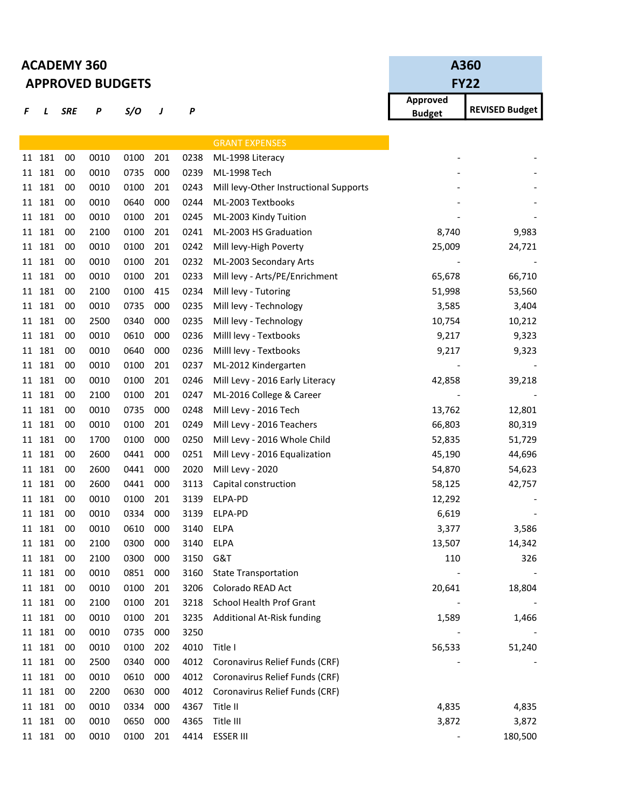|    |        | <b>ACADEMY 360</b> | <b>APPROVED BUDGETS</b> | A360<br><b>FY22</b> |     |      |                                        |                           |                       |
|----|--------|--------------------|-------------------------|---------------------|-----|------|----------------------------------------|---------------------------|-----------------------|
| F  | L      | <b>SRE</b>         | P                       | S/O                 | J   | P    |                                        | Approved<br><b>Budget</b> | <b>REVISED Budget</b> |
|    |        |                    |                         |                     |     |      | <b>GRANT EXPENSES</b>                  |                           |                       |
|    | 11 181 | 00                 | 0010                    | 0100                | 201 | 0238 | ML-1998 Literacy                       |                           |                       |
|    | 11 181 | 00                 | 0010                    | 0735                | 000 | 0239 | ML-1998 Tech                           |                           |                       |
| 11 | 181    | 00                 | 0010                    | 0100                | 201 | 0243 | Mill levy-Other Instructional Supports |                           |                       |
|    | 11 181 | 00                 | 0010                    | 0640                | 000 | 0244 | ML-2003 Textbooks                      |                           |                       |
| 11 | 181    | 00                 | 0010                    | 0100                | 201 | 0245 | ML-2003 Kindy Tuition                  |                           |                       |
|    | 11 181 | 00                 | 2100                    | 0100                | 201 | 0241 | ML-2003 HS Graduation                  | 8,740                     | 9,983                 |
|    | 11 181 | 00                 | 0010                    | 0100                | 201 | 0242 | Mill levy-High Poverty                 | 25,009                    | 24,721                |
|    | 11 181 | 00                 | 0010                    | 0100                | 201 | 0232 | ML-2003 Secondary Arts                 |                           |                       |
|    | 11 181 | 00                 | 0010                    | 0100                | 201 | 0233 | Mill levy - Arts/PE/Enrichment         | 65,678                    | 66,710                |
| 11 | 181    | 00                 | 2100                    | 0100                | 415 | 0234 | Mill levy - Tutoring                   | 51,998                    | 53,560                |
|    | 11 181 | 00                 | 0010                    | 0735                | 000 | 0235 | Mill levy - Technology                 | 3,585                     | 3,404                 |
|    | 11 181 | 00                 | 2500                    | 0340                | 000 | 0235 | Mill levy - Technology                 | 10,754                    | 10,212                |
|    | 11 181 | 00                 | 0010                    | 0610                | 000 | 0236 | Milll levy - Textbooks                 | 9,217                     | 9,323                 |
|    | 11 181 | 00                 | 0010                    | 0640                | 000 | 0236 | Milll levy - Textbooks                 | 9,217                     | 9,323                 |
|    | 11 181 | 00                 | 0010                    | 0100                | 201 | 0237 | ML-2012 Kindergarten                   |                           |                       |
|    | 11 181 | 00                 | 0010                    | 0100                | 201 | 0246 | Mill Levy - 2016 Early Literacy        | 42,858                    | 39,218                |
| 11 | 181    | 00                 | 2100                    | 0100                | 201 | 0247 | ML-2016 College & Career               |                           |                       |
|    | 11 181 | 00                 | 0010                    | 0735                | 000 | 0248 | Mill Levy - 2016 Tech                  | 13,762                    | 12,801                |
|    | 11 181 | 00                 | 0010                    | 0100                | 201 | 0249 | Mill Levy - 2016 Teachers              | 66,803                    | 80,319                |
|    | 11 181 | 00                 | 1700                    | 0100                | 000 | 0250 | Mill Levy - 2016 Whole Child           | 52,835                    | 51,729                |
|    | 11 181 | 00                 | 2600                    | 0441                | 000 | 0251 | Mill Levy - 2016 Equalization          | 45,190                    | 44,696                |
| 11 | 181    | 00                 | 2600                    | 0441                | 000 | 2020 | Mill Levy - 2020                       | 54,870                    | 54,623                |
|    | 11 181 | 00                 | 2600                    | 0441                | 000 | 3113 | Capital construction                   | 58,125                    | 42,757                |
|    | 11 181 | 00                 | 0010                    | 0100                | 201 | 3139 | ELPA-PD                                | 12,292                    |                       |
|    | 11 181 | 00                 | 0010                    | 0334                | 000 | 3139 | ELPA-PD                                | 6,619                     |                       |
|    | 11 181 | 00                 | 0010                    | 0610                | 000 | 3140 | <b>ELPA</b>                            | 3,377                     | 3,586                 |
|    | 11 181 | 00                 | 2100                    | 0300                | 000 | 3140 | <b>ELPA</b>                            | 13,507                    | 14,342                |
|    | 11 181 | 00                 | 2100                    | 0300                | 000 | 3150 | G&T                                    | 110                       | 326                   |
|    | 11 181 | 00                 | 0010                    | 0851                | 000 | 3160 | <b>State Transportation</b>            |                           |                       |
|    | 11 181 | 00                 | 0010                    | 0100                | 201 | 3206 | Colorado READ Act                      | 20,641                    | 18,804                |
|    | 11 181 | 00                 | 2100                    | 0100                | 201 | 3218 | School Health Prof Grant               |                           |                       |
|    | 11 181 | 00                 | 0010                    | 0100                | 201 | 3235 | Additional At-Risk funding             | 1,589                     | 1,466                 |
|    | 11 181 | 00                 | 0010                    | 0735                | 000 | 3250 |                                        |                           |                       |
|    | 11 181 | 00                 | 0010                    | 0100                | 202 | 4010 | Title I                                | 56,533                    | 51,240                |
|    | 11 181 | 00                 | 2500                    | 0340                | 000 | 4012 | Coronavirus Relief Funds (CRF)         |                           |                       |
|    | 11 181 | 00                 | 0010                    | 0610                | 000 | 4012 | Coronavirus Relief Funds (CRF)         |                           |                       |
|    | 11 181 | 00                 | 2200                    | 0630                | 000 | 4012 | Coronavirus Relief Funds (CRF)         |                           |                       |
|    | 11 181 | 00                 | 0010                    | 0334                | 000 | 4367 | Title II                               | 4,835                     | 4,835                 |
|    | 11 181 | 00                 | 0010                    | 0650                | 000 | 4365 | Title III                              | 3,872                     | 3,872                 |
|    | 11 181 | 00                 | 0010                    | 0100                | 201 | 4414 | <b>ESSER III</b>                       |                           | 180,500               |